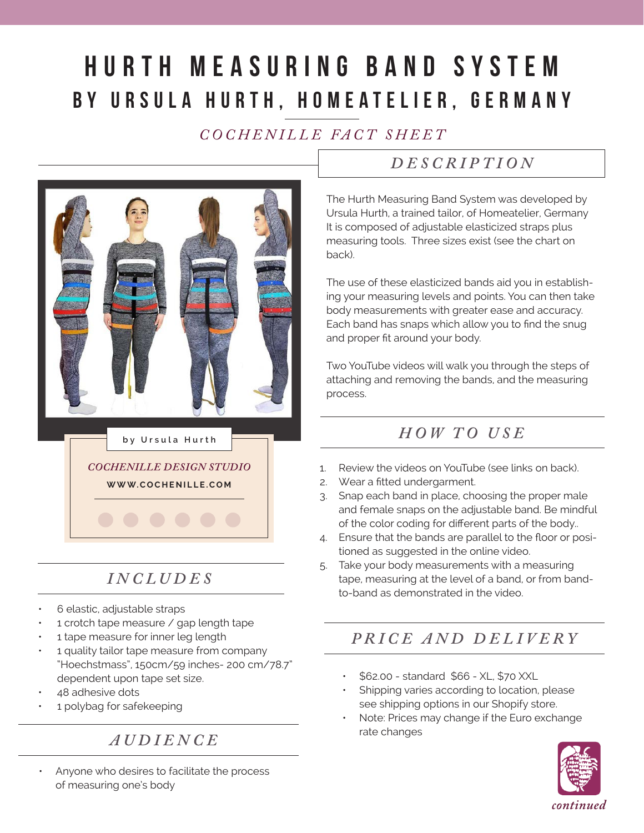# Hurth Measuring Band System by Ursula Hurth, HomeAtelier, Germany

## *C O C H E N I L L E FA C T S H E E T*



# *INCLUDES*

- 6 elastic, adjustable straps
- 1 crotch tape measure / gap length tape
- 1 tape measure for inner leg length
- 1 quality tailor tape measure from company "Hoechstmass", 150cm/59 inches- 200 cm/78.7" dependent upon tape set size.
- 48 adhesive dots
- 1 polybag for safekeeping

#### *AUDIENCE*

• Anyone who desires to facilitate the process of measuring one's body

#### *DESCRIPTION*

The Hurth Measuring Band System was developed by Ursula Hurth, a trained tailor, of Homeatelier, Germany It is composed of adjustable elasticized straps plus measuring tools. Three sizes exist (see the chart on back).

The use of these elasticized bands aid you in establishing your measuring levels and points. You can then take body measurements with greater ease and accuracy. Each band has snaps which allow you to find the snug and proper fit around your body.

Two YouTube videos will walk you through the steps of attaching and removing the bands, and the measuring process.

### *HOW TO USE*

- 1. Review the videos on YouTube (see links on back).
- 2. Wear a fitted undergarment.
- 3. Snap each band in place, choosing the proper male and female snaps on the adjustable band. Be mindful of the color coding for different parts of the body..
- 4. Ensure that the bands are parallel to the floor or positioned as suggested in the online video.
- 5. Take your body measurements with a measuring tape, measuring at the level of a band, or from bandto-band as demonstrated in the video.

## *PRICE AND DELIVERY*

- \$62.00 standard \$66 XL, \$70 XXL
- Shipping varies according to location, please see shipping options in our Shopify store.
- Note: Prices may change if the Euro exchange rate changes